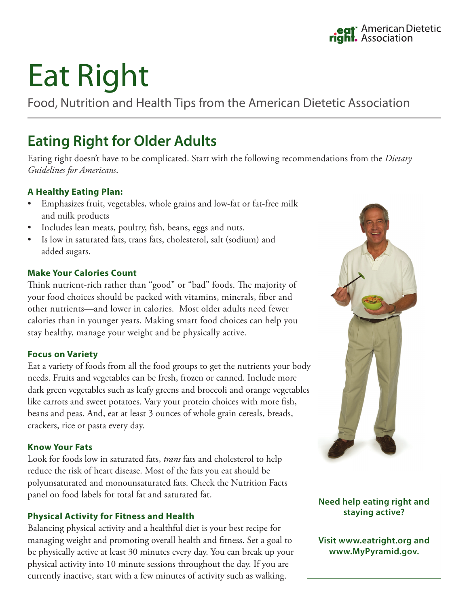# Eat Right

Food, Nutrition and Health Tips from the American Dietetic Association

# **Eating Right for Older Adults**

Eating right doesn't have to be complicated. Start with the following recommendations from the *Dietary Guidelines for Americans*.

# **A Healthy Eating Plan:**

- Emphasizes fruit, vegetables, whole grains and low-fat or fat-free milk and milk products
- Includes lean meats, poultry, fish, beans, eggs and nuts.
- Is low in saturated fats, trans fats, cholesterol, salt (sodium) and added sugars.

# **Make Your Calories Count**

Think nutrient-rich rather than "good" or "bad" foods. The majority of your food choices should be packed with vitamins, minerals, fiber and other nutrients—and lower in calories. Most older adults need fewer calories than in younger years. Making smart food choices can help you stay healthy, manage your weight and be physically active.

# **Focus on Variety**

Eat a variety of foods from all the food groups to get the nutrients your body needs. Fruits and vegetables can be fresh, frozen or canned. Include more dark green vegetables such as leafy greens and broccoli and orange vegetables like carrots and sweet potatoes. Vary your protein choices with more fish, beans and peas. And, eat at least 3 ounces of whole grain cereals, breads, crackers, rice or pasta every day.

# **Know Your Fats**

Look for foods low in saturated fats, *trans* fats and cholesterol to help reduce the risk of heart disease. Most of the fats you eat should be polyunsaturated and monounsaturated fats. Check the Nutrition Facts panel on food labels for total fat and saturated fat.

# **Physical Activity for Fitness and Health**

Balancing physical activity and a healthful diet is your best recipe for managing weight and promoting overall health and fitness. Set a goal to be physically active at least 30 minutes every day. You can break up your physical activity into 10 minute sessions throughout the day. If you are currently inactive, start with a few minutes of activity such as walking.



# **Need help eating right and staying active?**

**Visit www.eatright.org and www.MyPyramid.gov.**